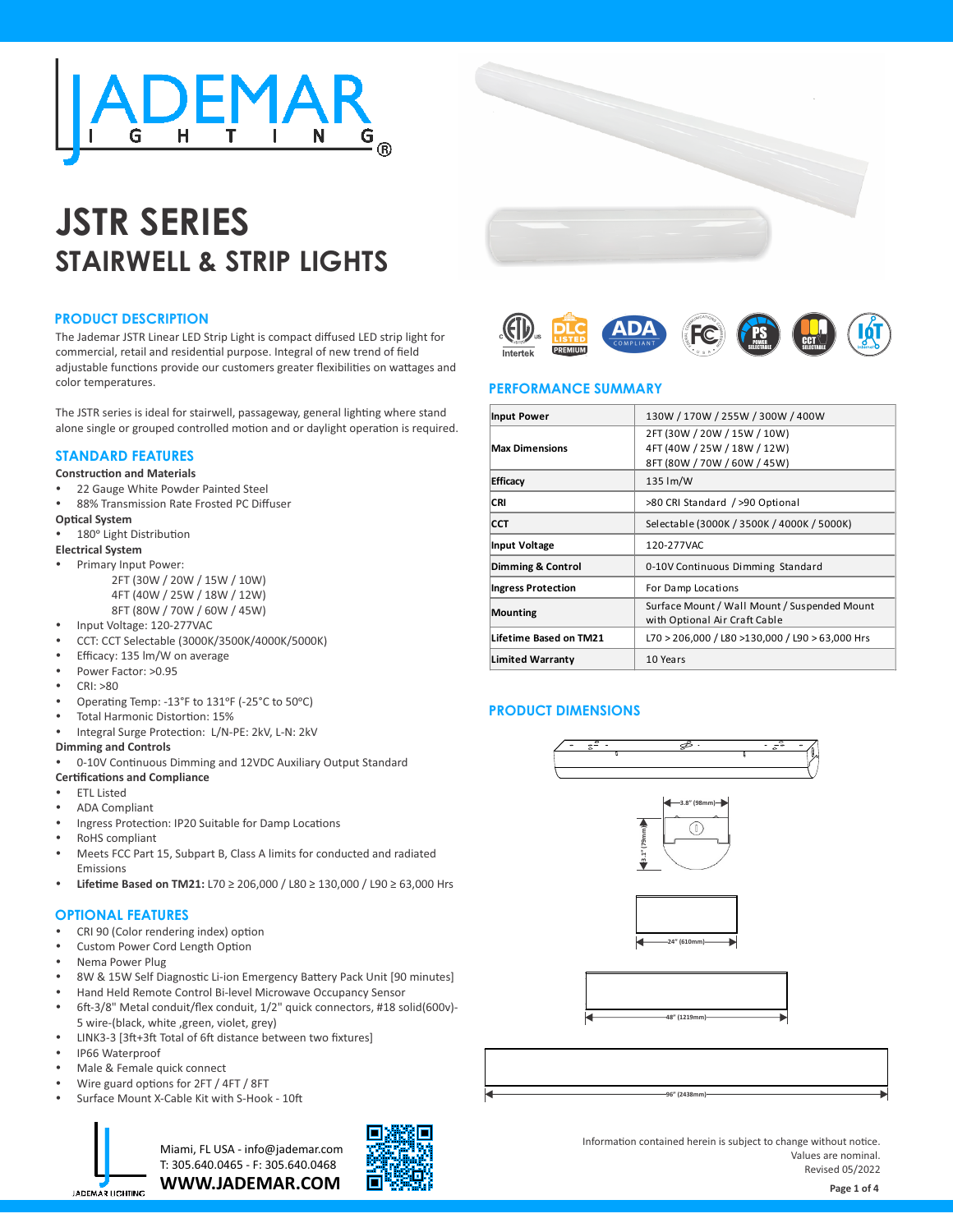

# **JSTR SERIES STAIRWELL & STRIP LIGHTS**

# **PRODUCT DESCRIPTION**

The Jademar JSTR Linear LED Strip Light is compact diffused LED strip light for commercial, retail and residential purpose. Integral of new trend of field adjustable functions provide our customers greater flexibilities on wattages and color temperatures.

The JSTR series is ideal for stairwell, passageway, general lighting where stand alone single or grouped controlled motion and or daylight operation is required.

# **STANDARD FEATURES**

#### **Construction and Materials**

- 22 Gauge White Powder Painted Steel
- 88% Transmission Rate Frosted PC Diffuser

#### **Optical System**

180° Light Distribution

#### **Electrical System**

- Primary Input Power:
	- 2FT (30W / 20W / 15W / 10W) 4FT (40W / 25W / 18W / 12W)
	- 8FT (80W / 70W / 60W / 45W)
- Input Voltage: 120-277VAC
- Ÿ CCT: CCT Selectable (3000K/3500K/4000K/5000K)
- Efficacy: 135 lm/W on average
- Power Factor: >0.95
- CRI: >80
- Operating Temp: -13°F to 131°F (-25°C to 50°C)
- Total Harmonic Distortion: 15%
- Integral Surge Protection: L/N-PE: 2kV, L-N: 2kV

#### **Dimming and Controls**

- 0-10V Continuous Dimming and 12VDC Auxiliary Output Standard **Certifications and Compliance**
- **ETL Listed**
- **ADA Compliant**
- Ingress Protection: IP20 Suitable for Damp Locations
- RoHS compliant
- Meets FCC Part 15, Subpart B, Class A limits for conducted and radiated Emissions
- **Lifetime Based on TM21:** L70 ≥ 206,000 / L80 ≥ 130,000 / L90 ≥ 63,000 Hrs

# **OPTIONAL FEATURES**

- CRI 90 (Color rendering index) option
- Custom Power Cord Length Option
- Nema Power Plug
- 8W & 15W Self Diagnostic Li-ion Emergency Battery Pack Unit [90 minutes]
- Hand Held Remote Control Bi-level Microwave Occupancy Sensor
- 6ft-3/8" Metal conduit/flex conduit, 1/2" quick connectors, #18 solid(600v)-5 wire-(black, white ,green, violet, grey)
- LINK3-3 [3ft+3ft Total of 6ft distance between two fixtures]
- IP66 Waterproof
- Male & Female quick connect
- Wire guard options for 2FT / 4FT / 8FT
- Surface Mount X-Cable Kit with S-Hook 10ft



**WWW.JADEMAR.COM** Miami, FL USA - info@jademar.com T: 305.640.0465 - F: 305.640.0468



Information contained herein is subject to change without notice. Values are nominal. Revised 05/2022



# **PERFORMANCE SUMMARY**

| <b>Input Power</b>        | 130W / 170W / 255W / 300W / 400W                                                          |  |  |  |  |  |  |
|---------------------------|-------------------------------------------------------------------------------------------|--|--|--|--|--|--|
| <b>Max Dimensions</b>     | 2FT (30W / 20W / 15W / 10W)<br>4FT (40W / 25W / 18W / 12W)<br>8FT (80W / 70W / 60W / 45W) |  |  |  |  |  |  |
| <b>Efficacy</b>           | $135 \, \text{Im/W}$                                                                      |  |  |  |  |  |  |
| <b>CRI</b>                | >80 CRI Standard / >90 Optional                                                           |  |  |  |  |  |  |
| <b>CCT</b>                | Selectable (3000K / 3500K / 4000K / 5000K)                                                |  |  |  |  |  |  |
| Input Voltage             | 120-277VAC                                                                                |  |  |  |  |  |  |
| Dimming & Control         | 0-10V Continuous Dimming Standard                                                         |  |  |  |  |  |  |
| <b>Ingress Protection</b> | For Damp Locations                                                                        |  |  |  |  |  |  |
| Mounting                  | Surface Mount / Wall Mount / Suspended Mount<br>with Optional Air Craft Cable             |  |  |  |  |  |  |
| Lifetime Based on TM21    | L70 > 206,000 / L80 >130,000 / L90 > 63,000 Hrs                                           |  |  |  |  |  |  |
| <b>Limited Warranty</b>   | 10 Years                                                                                  |  |  |  |  |  |  |

# **PRODUCT DIMENSIONS**







**96" (2438mm)**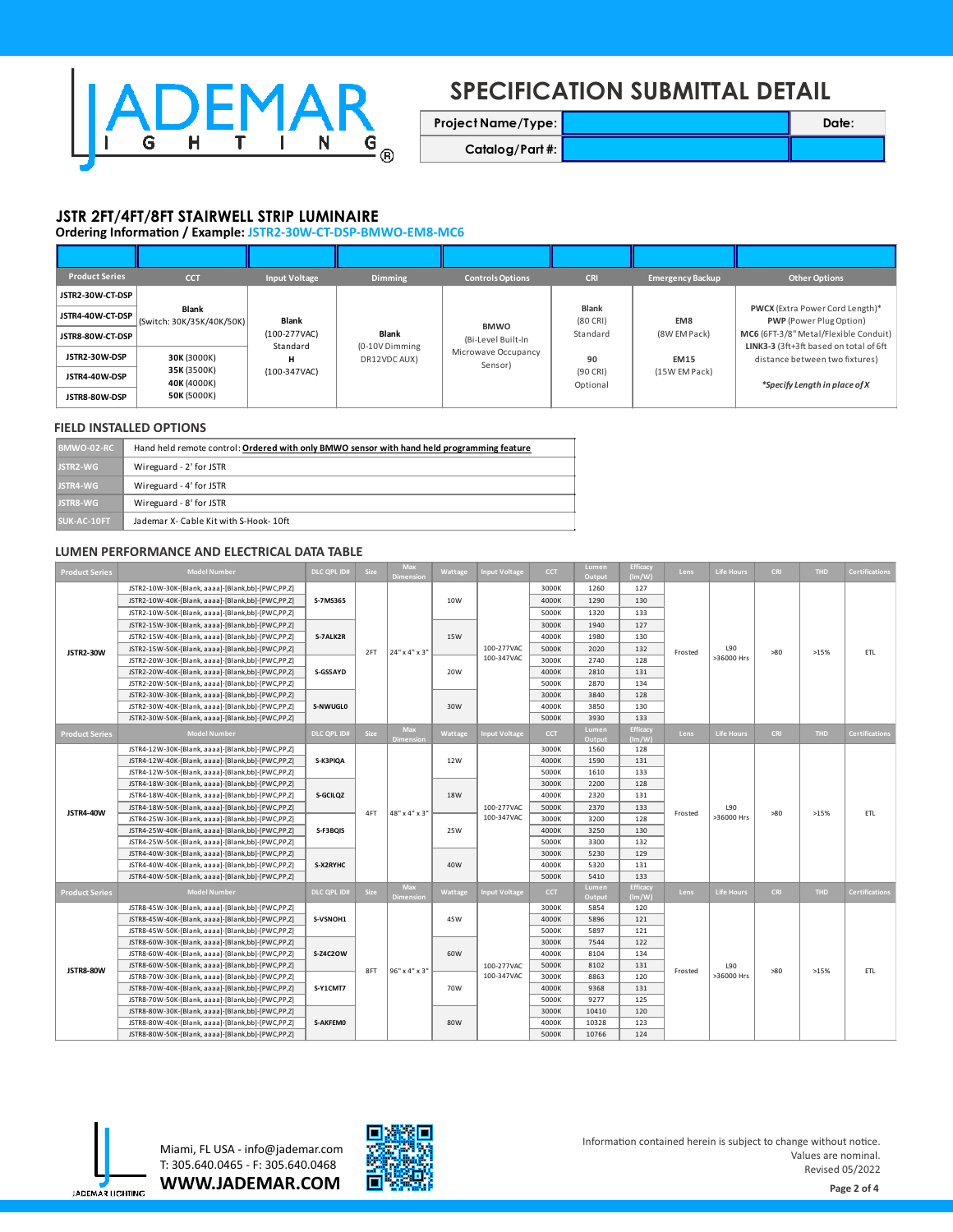

# **SPECIFICATION SUBMITTAL DETAIL**

**Project Name/Type: 2008 Catalog/Part #:**

# **JSTR 2FT/4FT/8FT STAIRWELL STRIP LUMINAIRE**

**Ordering Information / Example: JSTR2-30W-CT-DSP-BMWO-EM8-MC6** 

| <b>Product Series</b> | <b>CCT</b>                         | <b>Input Voltage</b> | <b>Dimming</b>                 | <b>Controls Options</b>                                             | <b>CRI</b>                   | <b>Emergency Backup</b>      | Other Options                                                            |  |  |
|-----------------------|------------------------------------|----------------------|--------------------------------|---------------------------------------------------------------------|------------------------------|------------------------------|--------------------------------------------------------------------------|--|--|
| JSTR2-30W-CT-DSP      |                                    |                      |                                |                                                                     |                              |                              |                                                                          |  |  |
| JSTR4-40W-CT-DSP      | Blank<br>(Switch: 30K/35K/40K/50K) | Blank                | <b>Blank</b>                   | <b>BMWO</b><br>(Bi-Level Built-In<br>Microwave Occupancy<br>Sensor) | Blank<br>$(80$ CRI)          | EM8                          | <b>PWCX</b> (Extra Power Cord Length)*<br><b>PWP</b> (Power Plug Option) |  |  |
| JSTR8-80W-CT-DSP      |                                    | (100-277VAC)         |                                |                                                                     | Standard                     | (8W EM Pack)                 | MC6 (6FT-3/8" Metal/Flexible Conduit)                                    |  |  |
| JSTR2-30W-DSP         | 30K (3000K)                        | Standard<br>н        | (0-10V Dimming<br>DR12VDC AUX) |                                                                     | 90<br>$(90$ CRI)<br>Optional | <b>EM15</b><br>(15W EM Pack) | LINK3-3 (3ft+3ft based on total of 6ft<br>distance between two fixtures) |  |  |
| JSTR4-40W-DSP         | 35K (3500K)<br>40K (4000K)         | (100-347VAC)         |                                |                                                                     |                              |                              | *Specify Length in place of X                                            |  |  |
| JSTR8-80W-DSP         | 50K (5000K)                        |                      |                                |                                                                     |                              |                              |                                                                          |  |  |

# **FIELD INSTALLED OPTIONS**

| BMWO-02-RC      | Hand held remote control: Ordered with only BMWO sensor with hand held programming feature |
|-----------------|--------------------------------------------------------------------------------------------|
| <b>JSTR2-WG</b> | Wireguard - 2' for JSTR                                                                    |
| JSTR4-WG        | Wireguard - 4' for JSTR                                                                    |
| <b>JSTR8-WG</b> | Wireguard - 8' for JSTR                                                                    |
| SUK-AC-10FT     | Jademar X- Cable Kit with S-Hook-10ft                                                      |

#### **LUMEN PERFORMANCE AND ELECTRICAL DATA TABLE**

| <b>Product Series</b> | <b>Model Number</b>                               | <b>DLC QPL ID#</b>               | Size | <b>Max</b><br>Dimension | Wattage    | <b>Input Voltage</b>     | <b>CCT</b> | Lumen<br>Output | Efficacy<br>(lm/W) | Lens    | <b>Life Hours</b> | <b>CRI</b> | <b>THD</b> | <b>Certifications</b> |  |  |
|-----------------------|---------------------------------------------------|----------------------------------|------|-------------------------|------------|--------------------------|------------|-----------------|--------------------|---------|-------------------|------------|------------|-----------------------|--|--|
|                       | JSTR2-10W-30K-[Blank, aaaa]-[Blank,bb]-[PWC,PP,Z] | S-7MS365                         | 2FT  | 24" x 4" x 3"           | 10W        | 100-277VAC<br>100-347VAC | 3000K      | 1260            | 127                |         |                   |            |            |                       |  |  |
|                       | JSTR2-10W-40K-[Blank, aaaa]-[Blank,bb]-[PWC,PP,Z] |                                  |      |                         |            |                          | 4000K      | 1290            | 130                |         |                   |            |            |                       |  |  |
|                       | JSTR2-10W-50K-[Blank, aaaa]-[Blank,bb]-[PWC,PP,Z] |                                  |      |                         |            |                          | 5000K      | 1320            | 133                |         |                   |            |            |                       |  |  |
|                       | JSTR2-15W-30K-[Blank, aaaa]-[Blank,bb]-[PWC,PP,Z] |                                  |      |                         |            |                          | 3000K      | 1940            | 127                |         |                   |            |            |                       |  |  |
|                       | JSTR2-15W-40K-[Blank, aaaa]-[Blank,bb]-[PWC,PP,Z] | S-7ALK2R                         |      |                         | 15W        |                          | 4000K      | 1980            | 130                |         |                   |            | >15%       | ETL                   |  |  |
| <b>JSTR2-30W</b>      | JSTR2-15W-50K-[Blank, aaaa]-[Blank,bb]-[PWC,PP,Z] |                                  |      |                         |            |                          | 5000K      | 2020            | 132                | Frosted | L90               | >80        |            |                       |  |  |
|                       | JSTR2-20W-30K-[Blank, aaaa]-[Blank,bb]-[PWC,PP,Z] |                                  |      |                         |            |                          | 3000K      | 2740            | 128                |         | >36000 Hrs        |            |            |                       |  |  |
|                       | JSTR2-20W-40K-[Blank, aaaa]-[Blank,bb]-[PWC,PP,Z] | S-GS5AYD                         |      |                         | 20W        |                          | 4000K      | 2810            | 131                |         |                   |            |            |                       |  |  |
|                       | JSTR2-20W-50K-[Blank, aaaa]-[Blank,bb]-[PWC,PP,Z] |                                  |      |                         |            |                          | 5000K      | 2870            | 134                |         |                   |            |            |                       |  |  |
|                       | JSTR2-30W-30K-[Blank, aaaa]-[Blank,bb]-[PWC,PP,Z] | S-NWUGLO                         |      |                         |            |                          | 3000K      | 3840            | 128                |         |                   |            |            |                       |  |  |
|                       | JSTR2-30W-40K-[Blank, aaaa]-[Blank,bb]-[PWC,PP,Z] |                                  |      |                         | 30W        |                          | 4000K      | 3850            | 130                |         |                   |            |            |                       |  |  |
|                       | JSTR2-30W-50K-[Blank, aaaa]-[Blank,bb]-[PWC,PP,Z] |                                  |      |                         |            |                          | 5000K      | 3930            | 133                |         |                   |            |            |                       |  |  |
| <b>Product Series</b> | <b>Model Number</b>                               | <b>DLC QPL ID#</b>               | Size | Max<br>Dimension        | Wattage    | <b>Input Voltage</b>     | <b>CCT</b> | Lumen<br>Output | Efficacy<br>(lm/W) | Lens    | <b>Life Hours</b> | <b>CRI</b> | <b>THD</b> | <b>Certifications</b> |  |  |
|                       | JSTR4-12W-30K-[Blank, aaaa]-[Blank,bb]-[PWC,PP,Z] | S-K3PIQA<br>S-GCILQZ<br>S-F3BQIS |      |                         |            | 100-277VAC<br>100-347VAC | 3000K      | 1560            | 128                |         |                   | >80        | >15%       | ETL                   |  |  |
| <b>JSTR4-40W</b>      | JSTR4-12W-40K-[Blank, aaaa]-[Blank,bb]-[PWC,PP,Z] |                                  | 4FT  |                         | 12W<br>18W |                          | 4000K      | 1590            | 131                | Frosted |                   |            |            |                       |  |  |
|                       | JSTR4-12W-50K-[Blank, aaaa]-[Blank,bb]-[PWC,PP,Z] |                                  |      | 48" x 4" x 3"           |            |                          | 5000K      | 1610            | 133                |         | L90<br>>36000 Hrs |            |            |                       |  |  |
|                       | JSTR4-18W-30K-[Blank, aaaa]-[Blank,bb]-[PWC,PP,Z] |                                  |      |                         |            |                          | 3000K      | 2200            | 128                |         |                   |            |            |                       |  |  |
|                       | JSTR4-18W-40K-[Blank, aaaa]-[Blank,bb]-[PWC,PP,Z] |                                  |      |                         |            |                          | 4000K      | 2320            | 131                |         |                   |            |            |                       |  |  |
|                       | JSTR4-18W-50K-[Blank, aaaa]-[Blank,bb]-[PWC,PP,Z] |                                  |      |                         |            |                          | 5000K      | 2370            | 133                |         |                   |            |            |                       |  |  |
|                       | JSTR4-25W-30K-[Blank, aaaa]-[Blank,bb]-[PWC,PP,Z] |                                  |      |                         | 25W<br>40W |                          | 3000K      | 3200            | 128                |         |                   |            |            |                       |  |  |
|                       | JSTR4-25W-40K-[Blank, aaaa]-[Blank,bb]-[PWC,PP,Z] |                                  |      |                         |            |                          | 4000K      | 3250            | 130                |         |                   |            |            |                       |  |  |
|                       | JSTR4-25W-50K-[Blank, aaaa]-[Blank,bb]-[PWC,PP,Z] |                                  |      |                         |            |                          | 5000K      | 3300            | 132                |         |                   |            |            |                       |  |  |
|                       | JSTR4-40W-30K-[Blank, aaaa]-[Blank,bb]-[PWC,PP,Z] | S-X2RYHC                         |      |                         |            |                          | 3000K      | 5230            | 129                |         |                   |            |            |                       |  |  |
|                       | JSTR4-40W-40K-[Blank, aaaa]-[Blank,bb]-[PWC,PP,Z] |                                  |      |                         |            |                          | 4000K      | 5320            | 131                |         |                   |            |            |                       |  |  |
|                       | JSTR4-40W-50K-[Blank, aaaa]-[Blank,bb]-[PWC,PP,Z] |                                  |      |                         |            |                          | 5000K      | 5410            | 133                |         |                   |            |            |                       |  |  |
| <b>Product Series</b> | <b>Model Number</b>                               | <b>DLC QPL ID#</b>               | Size | Max<br><b>Dimension</b> | Wattage    | <b>Input Voltage</b>     | <b>CCT</b> | Lumen<br>Output | Efficacy<br>(lm/W) | Lens    | <b>Life Hours</b> | <b>CRI</b> | <b>THD</b> | <b>Certifications</b> |  |  |
|                       | JSTR8-45W-30K-[Blank, aaaa]-[Blank,bb]-[PWC,PP,Z] |                                  |      |                         | 45W        |                          | 3000K      | 5854            | 120                | Frosted | L90<br>>36000 Hrs | >80        |            | ETL                   |  |  |
|                       | JSTR8-45W-40K-[Blank, aaaa]-[Blank,bb]-[PWC,PP,Z] | S-VSNOH1                         |      |                         |            |                          | 4000K      | 5896            | 121                |         |                   |            |            |                       |  |  |
|                       | JSTR8-45W-50K-[Blank, aaaa]-[Blank,bb]-[PWC,PP,Z] |                                  |      |                         |            |                          | 5000K      | 5897            | 121                |         |                   |            |            |                       |  |  |
|                       | JSTR8-60W-30K-[Blank, aaaa]-[Blank,bb]-[PWC,PP,Z] | <b>S-Z4C2OW</b><br>S-Y1CMT7      |      |                         | 60W        |                          | 3000K      | 7544            | 122                |         |                   |            |            |                       |  |  |
| <b>JSTR8-80W</b>      | JSTR8-60W-40K-[Blank, aaaa]-[Blank,bb]-[PWC,PP,Z] |                                  | 8FT  |                         |            |                          | 4000K      | 8104            | 134                |         |                   |            | >15%       |                       |  |  |
|                       | JSTR8-60W-50K-[Blank, aaaa]-[Blank,bb]-[PWC,PP,Z] |                                  |      | 96" x 4" x 3"           |            | 100-277VAC               | 5000K      | 8102            | 131                |         |                   |            |            |                       |  |  |
|                       | JSTR8-70W-30K-[Blank, aaaa]-[Blank,bb]-[PWC,PP,Z] |                                  |      |                         | 70W<br>80W | 100-347VAC               | 3000K      | 8863            | 120                |         |                   |            |            |                       |  |  |
|                       | JSTR8-70W-40K-[Blank, aaaa]-[Blank,bb]-[PWC,PP,Z] |                                  |      |                         |            |                          | 4000K      | 9368            | 131                |         |                   |            |            |                       |  |  |
|                       | JSTR8-70W-50K-[Blank, aaaa]-[Blank,bb]-[PWC,PP,Z] |                                  |      |                         |            |                          | 5000K      | 9277            | 125                |         |                   |            |            |                       |  |  |
|                       | JSTR8-80W-30K-[Blank, aaaa]-[Blank,bb]-[PWC,PP,Z] |                                  |      |                         |            |                          | 3000K      | 10410           | 120                |         |                   |            |            |                       |  |  |
|                       | JSTR8-80W-40K-[Blank, aaaa]-[Blank,bb]-[PWC,PP,Z] | S-AKFEM0                         |      |                         |            |                          | 4000K      | 10328           | 123                |         |                   |            |            |                       |  |  |
|                       | JSTR8-80W-50K-[Blank, aaaa]-[Blank,bb]-[PWC,PP,Z] |                                  |      |                         |            |                          |            |                 | 5000K              | 10766   | 124               |            |            |                       |  |  |



**WWW.JADEMAR.COM** Miami, FL USA - info@jademar.com T: 305.640.0465 - F: 305.640.0468



Information contained herein is subject to change without notice. Values are nominal. Revised 05/2022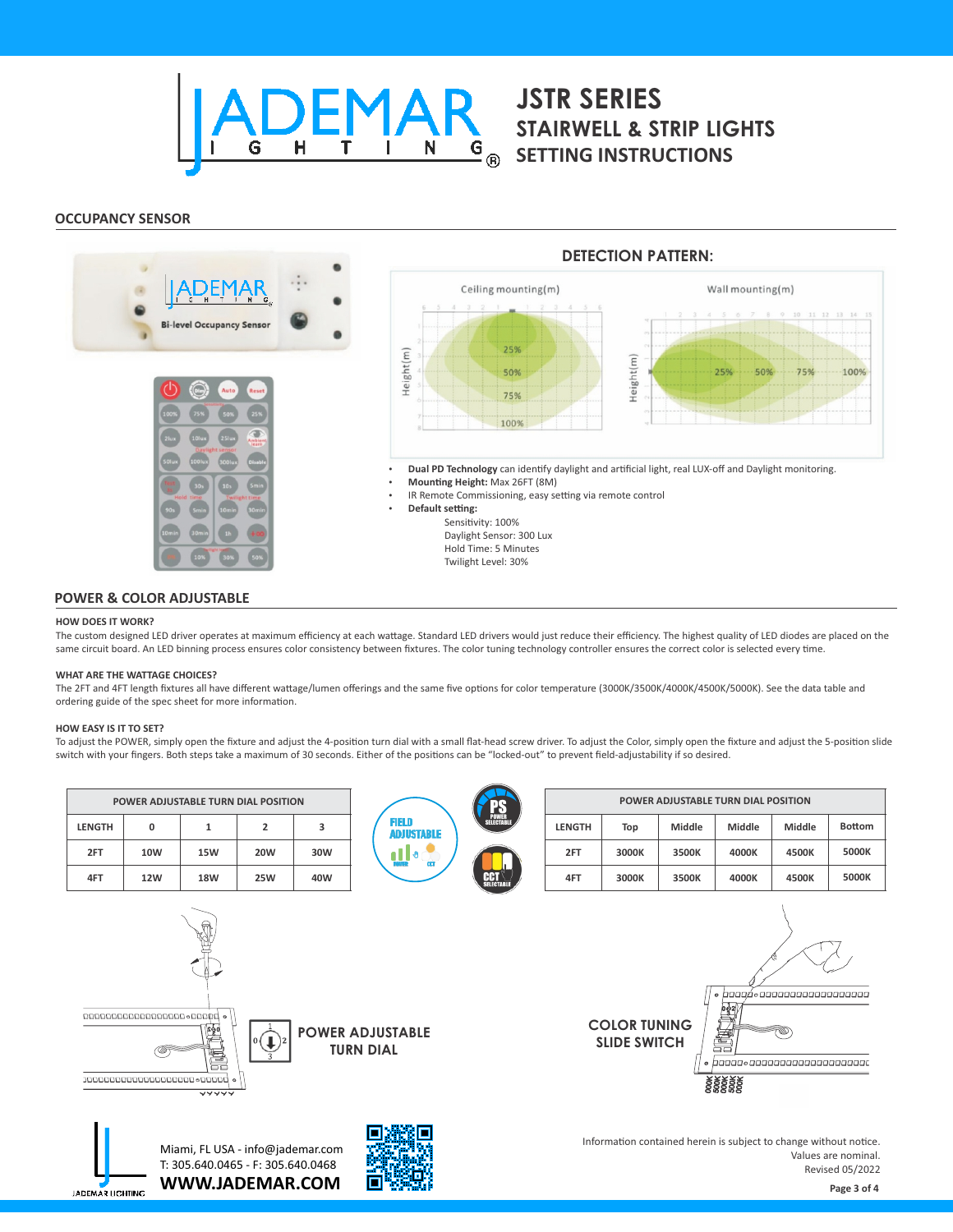

# **STAIRWELL & STRIP LIGHTS SETTING INSTRUCTIONS**

# **OCCUPANCY SENSOR**



#### **POWER & COLOR ADJUSTABLE**

**WWW.JADEMAR.COM**

П

#### **HOW DOES IT WORK?**

The custom designed LED driver operates at maximum efficiency at each wattage. Standard LED drivers would just reduce their efficiency. The highest quality of LED diodes are placed on the same circuit board. An LED binning process ensures color consistency between fixtures. The color tuning technology controller ensures the correct color is selected every time.

#### **WHAT ARE THE WATTAGE CHOICES?**

The 2FT and 4FT length fixtures all have different wattage/lumen offerings and the same five options for color temperature (3000K/3500K/4000K/4500K/5000K). See the data table and ordering guide of the spec sheet for more information.

#### **HOW EASY IS IT TO SET?**

**JADEMAR LIGHTING** 

To adjust the POWER, simply open the fixture and adjust the 4-position turn dial with a small flat-head screw driver. To adjust the Color, simply open the fixture and adjust the 5-position slide switch with your fingers. Both steps take a maximum of 30 seconds. Either of the positions can be "locked-out" to prevent field-adjustability if so desired.

| POWER ADJUSTABLE TURN DIAL POSITION                                                                                                                                                                                   |            |            |                |     |                                               |            | POWER ADJUSTABLE TURN DIAL POSITION |                                            |       |                                                                                          |                          |                                               |               |
|-----------------------------------------------------------------------------------------------------------------------------------------------------------------------------------------------------------------------|------------|------------|----------------|-----|-----------------------------------------------|------------|-------------------------------------|--------------------------------------------|-------|------------------------------------------------------------------------------------------|--------------------------|-----------------------------------------------|---------------|
| <b>LENGTH</b>                                                                                                                                                                                                         | 0          | 1          | $\overline{2}$ | 3   | FIELD<br><b>ADJUSTABLE</b><br>$\mathbf{u}$ of |            | <b>FO</b><br>POWER<br>SELECTABL     | <b>LENGTH</b>                              | Top   | Middle                                                                                   | Middle                   | Middle                                        | <b>Bottom</b> |
| 2FT                                                                                                                                                                                                                   | 10W        | <b>15W</b> | <b>20W</b>     | 30W |                                               |            |                                     |                                            | 2FT   | 3000K                                                                                    | 3500K                    | 4000K                                         | 4500K         |
| 4FT                                                                                                                                                                                                                   | <b>12W</b> | <b>18W</b> | <b>25W</b>     | 40W |                                               | <b>CCT</b> | 4FT                                 | 3000K                                      | 3500K | 4000K                                                                                    | 4500K                    | 5000K                                         |               |
| -0000000000000000000000000000<br><b>POWER ADJUSTABLE</b><br>$\bigcup$ ) <sup>2</sup><br><b>TURN DIAL</b><br>暠<br>, 0000000000000000000000000000000<br>$\overline{\mathsf{v}\mathsf{v}\mathsf{v}\mathsf{v}\mathsf{v}}$ |            |            |                |     |                                               |            |                                     | <b>COLOR TUNING</b><br><b>SLIDE SWITCH</b> |       | $\bullet$<br><b>Designation</b><br><u>, baaaa,aaaaaaaaaaaaaaaaaaaa</u><br>88888<br>88888 | 600000000000000000000000 |                                               |               |
| Miami, FL USA - info@jademar.com<br>T: 305.640.0465 - F: 305.640.0468                                                                                                                                                 |            |            |                |     |                                               |            |                                     |                                            |       | Information contained herein is subject to change without notice.                        |                          | Values are nominal.<br><b>Revised 05/2022</b> |               |